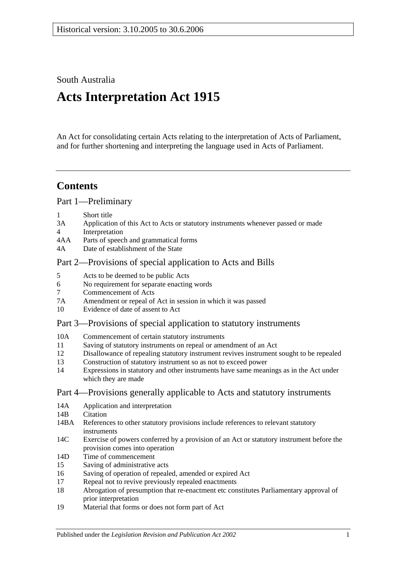South Australia

# **Acts Interpretation Act 1915**

An Act for consolidating certain Acts relating to the interpretation of Acts of Parliament, and for further shortening and interpreting the language used in Acts of Parliament.

# **Contents**

[Part 1—Preliminary](#page-1-0)

- 1 [Short title](#page-1-1)
- 3A [Application of this Act to Acts or statutory instruments whenever passed or made](#page-1-2)
- 4 [Interpretation](#page-2-0)
- 4AA [Parts of speech and grammatical forms](#page-6-0)
- 4A [Date of establishment of the State](#page-6-1)

# [Part 2—Provisions of special application to Acts and Bills](#page-6-2)

- 5 [Acts to be deemed to be public Acts](#page-6-3)
- 6 [No requirement for separate enacting words](#page-6-4)
- 7 [Commencement of Acts](#page-6-5)
- 7A [Amendment or repeal of Act in session in which it was passed](#page-7-0)
- 10 [Evidence of date of assent to Act](#page-7-1)

# [Part 3—Provisions of special application to statutory instruments](#page-7-2)

- 10A [Commencement of certain statutory instruments](#page-7-3)
- 11 [Saving of statutory instruments on repeal or amendment of an Act](#page-7-4)
- 12 [Disallowance of repealing statutory instrument revives instrument sought to](#page-8-0) be repealed
- 13 [Construction of statutory instrument so as not to exceed power](#page-8-1)
- 14 [Expressions in statutory and other instruments have same meanings as in the Act under](#page-8-2)  [which they are made](#page-8-2)

# [Part 4—Provisions generally applicable to Acts and statutory instruments](#page-8-3)

- 14A [Application and interpretation](#page-8-4)
- 14R [Citation](#page-8-5)
- 14BA [References to other statutory provisions include references to relevant statutory](#page-9-0)  [instruments](#page-9-0)
- 14C [Exercise of powers conferred by a provision of an Act or statutory instrument before the](#page-9-1)  [provision comes into operation](#page-9-1)
- 14D [Time of commencement](#page-10-0)
- 15 [Saving of administrative acts](#page-10-1)
- 16 [Saving of operation of repealed, amended or expired Act](#page-10-2)
- 17 [Repeal not to revive previously repealed enactments](#page-11-0)
- 18 [Abrogation of presumption that re-enactment etc constitutes Parliamentary approval of](#page-11-1)  [prior interpretation](#page-11-1)
- 19 [Material that forms or does not form part of Act](#page-11-2)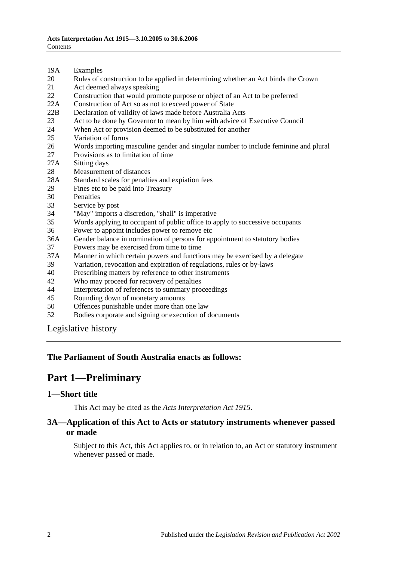- 19A [Examples](#page-12-0)
- 20 [Rules of construction to be applied in determining whether an Act binds the Crown](#page-12-1)
- 21 [Act deemed always speaking](#page-12-2)
- 22 [Construction that would promote purpose or object of an Act to be preferred](#page-13-0)
- 22A [Construction of Act so as not to exceed power of State](#page-13-1)
- 22B [Declaration of validity of laws made before Australia Acts](#page-13-2)
- 23 [Act to be done by Governor to mean by him with advice of Executive Council](#page-13-3)
- 24 [When Act or provision deemed to be substituted for another](#page-13-4)<br>25 Variation of forms
- [Variation of forms](#page-13-5)
- 26 [Words importing masculine gender and singular number to include feminine and plural](#page-14-0)
- 27 [Provisions as to limitation of time](#page-14-1)
- 27A [Sitting days](#page-14-2)
- 28 [Measurement of distances](#page-14-3)
- 28A [Standard scales for penalties and expiation fees](#page-15-0)
- 29 [Fines etc to be paid into Treasury](#page-15-1)
- 
- 30 [Penalties](#page-16-0)<br>33 Service b [Service by post](#page-16-1)
- 34 ["May" imports a discretion, "shall" is imperative](#page-16-2)
- 35 [Words applying to occupant of public office to apply to successive occupants](#page-16-3)
- 36 [Power to appoint includes power to remove etc](#page-16-4)
- 36A [Gender balance in nomination of persons for appointment to statutory bodies](#page-17-0)
- 37 [Powers may be exercised from time to time](#page-17-1)
- 37A [Manner in which certain powers and functions may be exercised by a delegate](#page-18-0)
- 39 [Variation, revocation and expiration of regulations, rules or by-laws](#page-18-1)
- 40 [Prescribing matters by reference to other instruments](#page-18-2)
- 42 [Who may proceed for recovery of penalties](#page-18-3)
- 44 [Interpretation of references to summary proceedings](#page-18-4)
- 45 [Rounding down of monetary amounts](#page-19-0)
- 50 [Offences punishable under more than one law](#page-19-1)
- 52 [Bodies corporate and signing or execution of documents](#page-19-2)

[Legislative history](#page-20-0)

#### <span id="page-1-0"></span>**The Parliament of South Australia enacts as follows:**

# **Part 1—Preliminary**

#### <span id="page-1-1"></span>**1—Short title**

This Act may be cited as the *Acts Interpretation Act 1915*.

### <span id="page-1-2"></span>**3A—Application of this Act to Acts or statutory instruments whenever passed or made**

Subject to this Act, this Act applies to, or in relation to, an Act or statutory instrument whenever passed or made.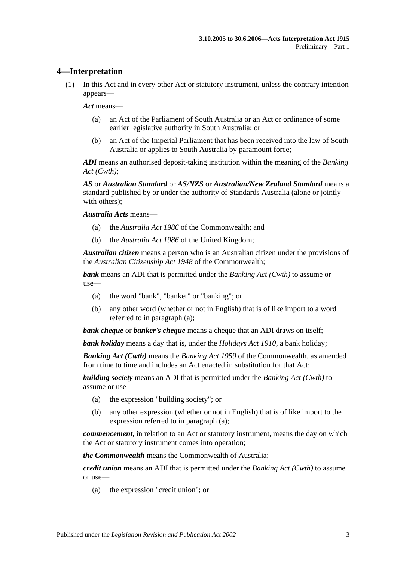### <span id="page-2-0"></span>**4—Interpretation**

(1) In this Act and in every other Act or statutory instrument, unless the contrary intention appears—

*Act* means—

- (a) an Act of the Parliament of South Australia or an Act or ordinance of some earlier legislative authority in South Australia; or
- (b) an Act of the Imperial Parliament that has been received into the law of South Australia or applies to South Australia by paramount force;

*ADI* means an authorised deposit-taking institution within the meaning of the *Banking Act (Cwth)*;

*AS* or *Australian Standard* or *AS/NZS* or *Australian/New Zealand Standard* means a standard published by or under the authority of Standards Australia (alone or jointly with others):

*Australia Acts* means—

- (a) the *Australia Act 1986* of the Commonwealth; and
- (b) the *Australia Act 1986* of the United Kingdom;

*Australian citizen* means a person who is an Australian citizen under the provisions of the *Australian Citizenship Act 1948* of the Commonwealth;

<span id="page-2-1"></span>*bank* means an ADI that is permitted under the *Banking Act (Cwth)* to assume or use—

- (a) the word "bank", "banker" or "banking"; or
- (b) any other word (whether or not in English) that is of like import to a word referred to in [paragraph](#page-2-1) (a);

*bank cheque* or *banker's cheque* means a cheque that an ADI draws on itself;

*bank holiday* means a day that is, under the *[Holidays Act](http://www.legislation.sa.gov.au/index.aspx?action=legref&type=act&legtitle=Holidays%20Act%201910) 1910*, a bank holiday;

*Banking Act (Cwth)* means the *Banking Act 1959* of the Commonwealth, as amended from time to time and includes an Act enacted in substitution for that Act;

<span id="page-2-2"></span>*building society* means an ADI that is permitted under the *Banking Act (Cwth)* to assume or use—

- (a) the expression "building society"; or
- (b) any other expression (whether or not in English) that is of like import to the expression referred to in [paragraph](#page-2-2) (a);

*commencement*, in relation to an Act or statutory instrument, means the day on which the Act or statutory instrument comes into operation;

*the Commonwealth* means the Commonwealth of Australia;

<span id="page-2-3"></span>*credit union* means an ADI that is permitted under the *Banking Act (Cwth)* to assume or use—

(a) the expression "credit union"; or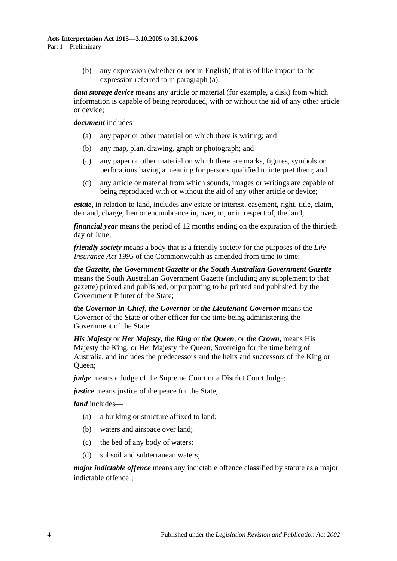(b) any expression (whether or not in English) that is of like import to the expression referred to in [paragraph](#page-2-3) (a);

*data storage device* means any article or material (for example, a disk) from which information is capable of being reproduced, with or without the aid of any other article or device;

#### *document* includes—

- (a) any paper or other material on which there is writing; and
- (b) any map, plan, drawing, graph or photograph; and
- (c) any paper or other material on which there are marks, figures, symbols or perforations having a meaning for persons qualified to interpret them; and
- (d) any article or material from which sounds, images or writings are capable of being reproduced with or without the aid of any other article or device;

*estate*, in relation to land, includes any estate or interest, easement, right, title, claim, demand, charge, lien or encumbrance in, over, to, or in respect of, the land;

*financial year* means the period of 12 months ending on the expiration of the thirtieth day of June;

*friendly society* means a body that is a friendly society for the purposes of the *Life Insurance Act 1995* of the Commonwealth as amended from time to time:

*the Gazette*, *the Government Gazette* or *the South Australian Government Gazette* means the South Australian Government Gazette (including any supplement to that gazette) printed and published, or purporting to be printed and published, by the Government Printer of the State;

*the Governor-in-Chief*, *the Governor* or *the Lieutenant-Governor* means the Governor of the State or other officer for the time being administering the Government of the State;

*His Majesty* or *Her Majesty*, *the King* or *the Queen*, or *the Crown*, means His Majesty the King, or Her Majesty the Queen, Sovereign for the time being of Australia, and includes the predecessors and the heirs and successors of the King or Oueen:

*judge* means a Judge of the Supreme Court or a District Court Judge;

*justice* means justice of the peace for the State;

*land* includes—

- (a) a building or structure affixed to land;
- (b) waters and airspace over land;
- (c) the bed of any body of waters;
- (d) subsoil and subterranean waters;

*major indictable offence* means any indictable offence classified by statute as a major indictable offence<sup>1</sup>;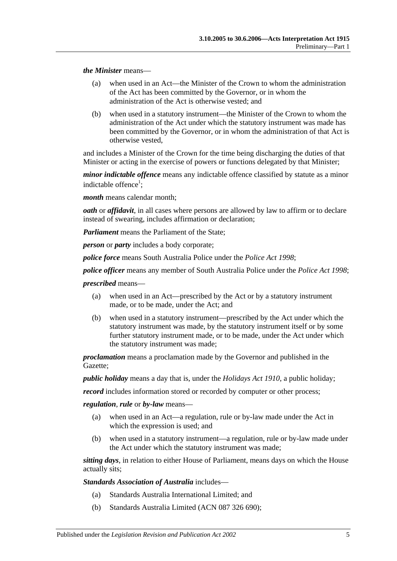*the Minister* means—

- (a) when used in an Act—the Minister of the Crown to whom the administration of the Act has been committed by the Governor, or in whom the administration of the Act is otherwise vested; and
- (b) when used in a statutory instrument—the Minister of the Crown to whom the administration of the Act under which the statutory instrument was made has been committed by the Governor, or in whom the administration of that Act is otherwise vested,

and includes a Minister of the Crown for the time being discharging the duties of that Minister or acting in the exercise of powers or functions delegated by that Minister;

*minor indictable offence* means any indictable offence classified by statute as a minor indictable offence<sup>1</sup>;

*month* means calendar month;

*oath* or *affidavit*, in all cases where persons are allowed by law to affirm or to declare instead of swearing, includes affirmation or declaration;

*Parliament* means the Parliament of the State;

*person* or *party* includes a body corporate;

*police force* means South Australia Police under the *[Police Act](http://www.legislation.sa.gov.au/index.aspx?action=legref&type=act&legtitle=Police%20Act%201998) 1998*;

*police officer* means any member of South Australia Police under the *[Police Act](http://www.legislation.sa.gov.au/index.aspx?action=legref&type=act&legtitle=Police%20Act%201998) 1998*;

*prescribed* means—

- (a) when used in an Act—prescribed by the Act or by a statutory instrument made, or to be made, under the Act; and
- (b) when used in a statutory instrument—prescribed by the Act under which the statutory instrument was made, by the statutory instrument itself or by some further statutory instrument made, or to be made, under the Act under which the statutory instrument was made;

*proclamation* means a proclamation made by the Governor and published in the Gazette;

*public holiday* means a day that is, under the *[Holidays Act](http://www.legislation.sa.gov.au/index.aspx?action=legref&type=act&legtitle=Holidays%20Act%201910) 1910*, a public holiday;

*record* includes information stored or recorded by computer or other process;

*regulation*, *rule* or *by-law* means—

- (a) when used in an Act—a regulation, rule or by-law made under the Act in which the expression is used; and
- (b) when used in a statutory instrument—a regulation, rule or by-law made under the Act under which the statutory instrument was made;

*sitting days*, in relation to either House of Parliament, means days on which the House actually sits;

*Standards Association of Australia* includes—

- (a) Standards Australia International Limited; and
- (b) Standards Australia Limited (ACN 087 326 690);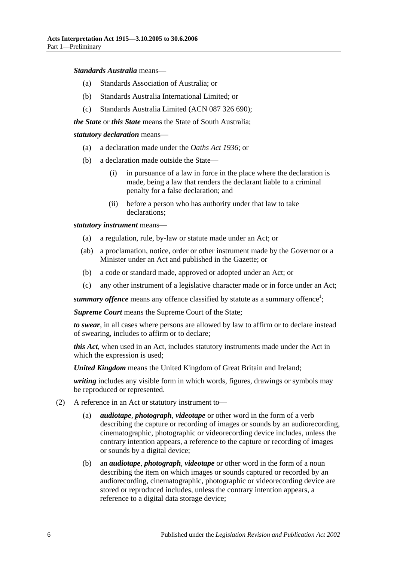#### *Standards Australia* means—

- (a) Standards Association of Australia; or
- (b) Standards Australia International Limited; or
- (c) Standards Australia Limited (ACN 087 326 690);

*the State* or *this State* means the State of South Australia;

#### *statutory declaration* means—

- (a) a declaration made under the *[Oaths Act](http://www.legislation.sa.gov.au/index.aspx?action=legref&type=act&legtitle=Oaths%20Act%201936) 1936*; or
- (b) a declaration made outside the State—
	- (i) in pursuance of a law in force in the place where the declaration is made, being a law that renders the declarant liable to a criminal penalty for a false declaration; and
	- (ii) before a person who has authority under that law to take declarations;

*statutory instrument* means—

- (a) a regulation, rule, by-law or statute made under an Act; or
- (ab) a proclamation, notice, order or other instrument made by the Governor or a Minister under an Act and published in the Gazette; or
- (b) a code or standard made, approved or adopted under an Act; or
- (c) any other instrument of a legislative character made or in force under an Act;

summary offence means any offence classified by statute as a summary offence<sup>1</sup>;

*Supreme Court* means the Supreme Court of the State;

*to swear*, in all cases where persons are allowed by law to affirm or to declare instead of swearing, includes to affirm or to declare;

*this Act*, when used in an Act, includes statutory instruments made under the Act in which the expression is used;

*United Kingdom* means the United Kingdom of Great Britain and Ireland;

*writing* includes any visible form in which words, figures, drawings or symbols may be reproduced or represented.

- (2) A reference in an Act or statutory instrument to—
	- (a) *audiotape*, *photograph*, *videotape* or other word in the form of a verb describing the capture or recording of images or sounds by an audiorecording, cinematographic, photographic or videorecording device includes, unless the contrary intention appears, a reference to the capture or recording of images or sounds by a digital device;
	- (b) an *audiotape*, *photograph*, *videotape* or other word in the form of a noun describing the item on which images or sounds captured or recorded by an audiorecording, cinematographic, photographic or videorecording device are stored or reproduced includes, unless the contrary intention appears, a reference to a digital data storage device;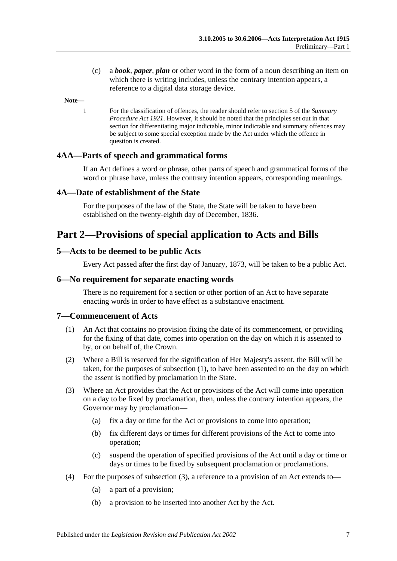(c) a *book*, *paper*, *plan* or other word in the form of a noun describing an item on which there is writing includes, unless the contrary intention appears, a reference to a digital data storage device.

**Note—**

1 For the classification of offences, the reader should refer to section 5 of the *[Summary](http://www.legislation.sa.gov.au/index.aspx?action=legref&type=act&legtitle=Summary%20Procedure%20Act%201921)  [Procedure Act](http://www.legislation.sa.gov.au/index.aspx?action=legref&type=act&legtitle=Summary%20Procedure%20Act%201921) 1921*. However, it should be noted that the principles set out in that section for differentiating major indictable, minor indictable and summary offences may be subject to some special exception made by the Act under which the offence in question is created.

#### <span id="page-6-0"></span>**4AA—Parts of speech and grammatical forms**

If an Act defines a word or phrase, other parts of speech and grammatical forms of the word or phrase have, unless the contrary intention appears, corresponding meanings.

#### <span id="page-6-1"></span>**4A—Date of establishment of the State**

For the purposes of the law of the State, the State will be taken to have been established on the twenty-eighth day of December, 1836.

# <span id="page-6-2"></span>**Part 2—Provisions of special application to Acts and Bills**

#### <span id="page-6-3"></span>**5—Acts to be deemed to be public Acts**

Every Act passed after the first day of January, 1873, will be taken to be a public Act.

#### <span id="page-6-4"></span>**6—No requirement for separate enacting words**

There is no requirement for a section or other portion of an Act to have separate enacting words in order to have effect as a substantive enactment.

#### <span id="page-6-6"></span><span id="page-6-5"></span>**7—Commencement of Acts**

- (1) An Act that contains no provision fixing the date of its commencement, or providing for the fixing of that date, comes into operation on the day on which it is assented to by, or on behalf of, the Crown.
- (2) Where a Bill is reserved for the signification of Her Majesty's assent, the Bill will be taken, for the purposes of [subsection](#page-6-6) (1), to have been assented to on the day on which the assent is notified by proclamation in the State.
- <span id="page-6-7"></span>(3) Where an Act provides that the Act or provisions of the Act will come into operation on a day to be fixed by proclamation, then, unless the contrary intention appears, the Governor may by proclamation—
	- (a) fix a day or time for the Act or provisions to come into operation;
	- (b) fix different days or times for different provisions of the Act to come into operation;
	- (c) suspend the operation of specified provisions of the Act until a day or time or days or times to be fixed by subsequent proclamation or proclamations.
- (4) For the purposes of [subsection](#page-6-7) (3), a reference to a provision of an Act extends to—
	- (a) a part of a provision;
	- (b) a provision to be inserted into another Act by the Act.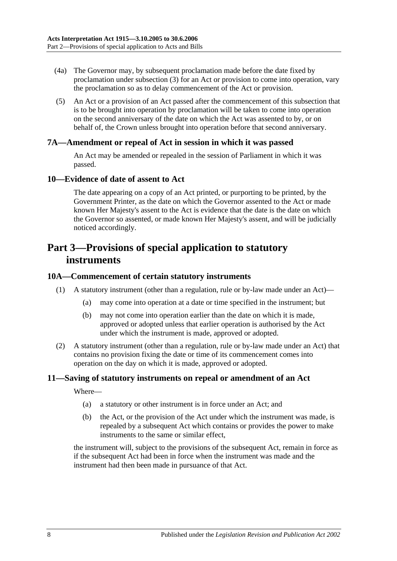- (4a) The Governor may, by subsequent proclamation made before the date fixed by proclamation under [subsection](#page-6-7) (3) for an Act or provision to come into operation, vary the proclamation so as to delay commencement of the Act or provision.
- (5) An Act or a provision of an Act passed after the commencement of this subsection that is to be brought into operation by proclamation will be taken to come into operation on the second anniversary of the date on which the Act was assented to by, or on behalf of, the Crown unless brought into operation before that second anniversary.

#### <span id="page-7-0"></span>**7A—Amendment or repeal of Act in session in which it was passed**

An Act may be amended or repealed in the session of Parliament in which it was passed.

#### <span id="page-7-1"></span>**10—Evidence of date of assent to Act**

The date appearing on a copy of an Act printed, or purporting to be printed, by the Government Printer, as the date on which the Governor assented to the Act or made known Her Majesty's assent to the Act is evidence that the date is the date on which the Governor so assented, or made known Her Majesty's assent, and will be judicially noticed accordingly.

# <span id="page-7-2"></span>**Part 3—Provisions of special application to statutory instruments**

#### <span id="page-7-3"></span>**10A—Commencement of certain statutory instruments**

- (1) A statutory instrument (other than a regulation, rule or by-law made under an Act)—
	- (a) may come into operation at a date or time specified in the instrument; but
	- (b) may not come into operation earlier than the date on which it is made, approved or adopted unless that earlier operation is authorised by the Act under which the instrument is made, approved or adopted.
- (2) A statutory instrument (other than a regulation, rule or by-law made under an Act) that contains no provision fixing the date or time of its commencement comes into operation on the day on which it is made, approved or adopted.

### <span id="page-7-4"></span>**11—Saving of statutory instruments on repeal or amendment of an Act**

Where—

- (a) a statutory or other instrument is in force under an Act; and
- (b) the Act, or the provision of the Act under which the instrument was made, is repealed by a subsequent Act which contains or provides the power to make instruments to the same or similar effect,

the instrument will, subject to the provisions of the subsequent Act, remain in force as if the subsequent Act had been in force when the instrument was made and the instrument had then been made in pursuance of that Act.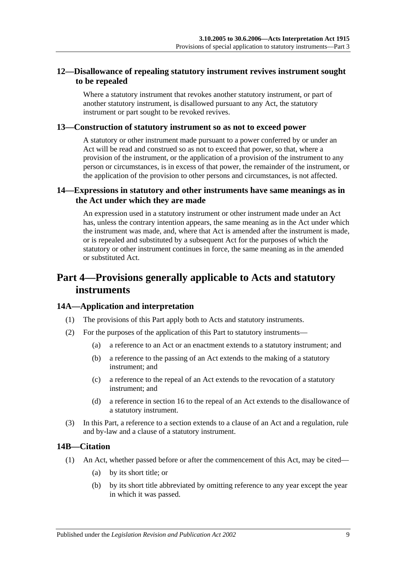# <span id="page-8-0"></span>**12—Disallowance of repealing statutory instrument revives instrument sought to be repealed**

Where a statutory instrument that revokes another statutory instrument, or part of another statutory instrument, is disallowed pursuant to any Act, the statutory instrument or part sought to be revoked revives.

#### <span id="page-8-1"></span>**13—Construction of statutory instrument so as not to exceed power**

A statutory or other instrument made pursuant to a power conferred by or under an Act will be read and construed so as not to exceed that power, so that, where a provision of the instrument, or the application of a provision of the instrument to any person or circumstances, is in excess of that power, the remainder of the instrument, or the application of the provision to other persons and circumstances, is not affected.

### <span id="page-8-2"></span>**14—Expressions in statutory and other instruments have same meanings as in the Act under which they are made**

An expression used in a statutory instrument or other instrument made under an Act has, unless the contrary intention appears, the same meaning as in the Act under which the instrument was made, and, where that Act is amended after the instrument is made, or is repealed and substituted by a subsequent Act for the purposes of which the statutory or other instrument continues in force, the same meaning as in the amended or substituted Act.

# <span id="page-8-3"></span>**Part 4—Provisions generally applicable to Acts and statutory instruments**

### <span id="page-8-4"></span>**14A—Application and interpretation**

- (1) The provisions of this Part apply both to Acts and statutory instruments.
- (2) For the purposes of the application of this Part to statutory instruments—
	- (a) a reference to an Act or an enactment extends to a statutory instrument; and
	- (b) a reference to the passing of an Act extends to the making of a statutory instrument; and
	- (c) a reference to the repeal of an Act extends to the revocation of a statutory instrument; and
	- (d) a reference in [section](#page-10-2) 16 to the repeal of an Act extends to the disallowance of a statutory instrument.
- (3) In this Part, a reference to a section extends to a clause of an Act and a regulation, rule and by-law and a clause of a statutory instrument.

# <span id="page-8-5"></span>**14B—Citation**

- (1) An Act, whether passed before or after the commencement of this Act, may be cited—
	- (a) by its short title; or
	- (b) by its short title abbreviated by omitting reference to any year except the year in which it was passed.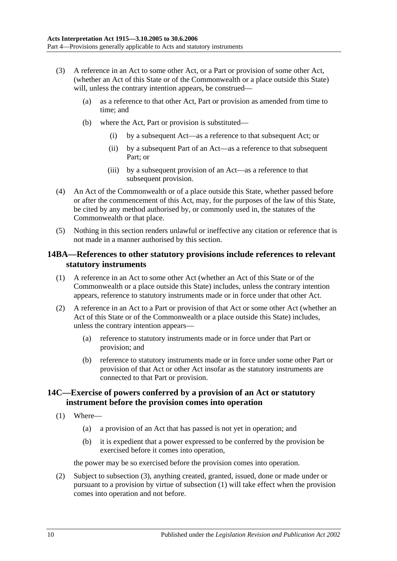- (3) A reference in an Act to some other Act, or a Part or provision of some other Act, (whether an Act of this State or of the Commonwealth or a place outside this State) will, unless the contrary intention appears, be construed—
	- (a) as a reference to that other Act, Part or provision as amended from time to time; and
	- (b) where the Act, Part or provision is substituted—
		- (i) by a subsequent Act—as a reference to that subsequent Act; or
		- (ii) by a subsequent Part of an Act—as a reference to that subsequent Part; or
		- (iii) by a subsequent provision of an Act—as a reference to that subsequent provision.
- (4) An Act of the Commonwealth or of a place outside this State, whether passed before or after the commencement of this Act, may, for the purposes of the law of this State, be cited by any method authorised by, or commonly used in, the statutes of the Commonwealth or that place.
- (5) Nothing in this section renders unlawful or ineffective any citation or reference that is not made in a manner authorised by this section.

#### <span id="page-9-0"></span>**14BA—References to other statutory provisions include references to relevant statutory instruments**

- (1) A reference in an Act to some other Act (whether an Act of this State or of the Commonwealth or a place outside this State) includes, unless the contrary intention appears, reference to statutory instruments made or in force under that other Act.
- (2) A reference in an Act to a Part or provision of that Act or some other Act (whether an Act of this State or of the Commonwealth or a place outside this State) includes, unless the contrary intention appears—
	- (a) reference to statutory instruments made or in force under that Part or provision; and
	- (b) reference to statutory instruments made or in force under some other Part or provision of that Act or other Act insofar as the statutory instruments are connected to that Part or provision.

### <span id="page-9-1"></span>**14C—Exercise of powers conferred by a provision of an Act or statutory instrument before the provision comes into operation**

- <span id="page-9-2"></span>(1) Where—
	- (a) a provision of an Act that has passed is not yet in operation; and
	- (b) it is expedient that a power expressed to be conferred by the provision be exercised before it comes into operation,

the power may be so exercised before the provision comes into operation.

(2) Subject to [subsection](#page-10-3) (3), anything created, granted, issued, done or made under or pursuant to a provision by virtue of [subsection](#page-9-2) (1) will take effect when the provision comes into operation and not before.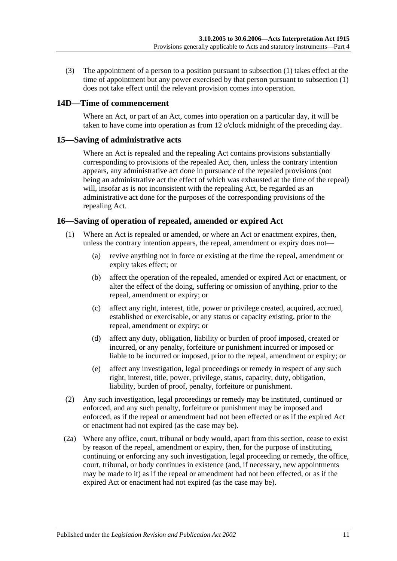<span id="page-10-3"></span>(3) The appointment of a person to a position pursuant to [subsection](#page-9-2) (1) takes effect at the time of appointment but any power exercised by that person pursuant to [subsection](#page-9-2) (1) does not take effect until the relevant provision comes into operation.

# <span id="page-10-0"></span>**14D—Time of commencement**

Where an Act, or part of an Act, comes into operation on a particular day, it will be taken to have come into operation as from 12 o'clock midnight of the preceding day.

#### <span id="page-10-1"></span>**15—Saving of administrative acts**

Where an Act is repealed and the repealing Act contains provisions substantially corresponding to provisions of the repealed Act, then, unless the contrary intention appears, any administrative act done in pursuance of the repealed provisions (not being an administrative act the effect of which was exhausted at the time of the repeal) will, insofar as is not inconsistent with the repealing Act, be regarded as an administrative act done for the purposes of the corresponding provisions of the repealing Act.

# <span id="page-10-2"></span>**16—Saving of operation of repealed, amended or expired Act**

- (1) Where an Act is repealed or amended, or where an Act or enactment expires, then, unless the contrary intention appears, the repeal, amendment or expiry does not—
	- (a) revive anything not in force or existing at the time the repeal, amendment or expiry takes effect; or
	- (b) affect the operation of the repealed, amended or expired Act or enactment, or alter the effect of the doing, suffering or omission of anything, prior to the repeal, amendment or expiry; or
	- (c) affect any right, interest, title, power or privilege created, acquired, accrued, established or exercisable, or any status or capacity existing, prior to the repeal, amendment or expiry; or
	- (d) affect any duty, obligation, liability or burden of proof imposed, created or incurred, or any penalty, forfeiture or punishment incurred or imposed or liable to be incurred or imposed, prior to the repeal, amendment or expiry; or
	- (e) affect any investigation, legal proceedings or remedy in respect of any such right, interest, title, power, privilege, status, capacity, duty, obligation, liability, burden of proof, penalty, forfeiture or punishment.
- (2) Any such investigation, legal proceedings or remedy may be instituted, continued or enforced, and any such penalty, forfeiture or punishment may be imposed and enforced, as if the repeal or amendment had not been effected or as if the expired Act or enactment had not expired (as the case may be).
- (2a) Where any office, court, tribunal or body would, apart from this section, cease to exist by reason of the repeal, amendment or expiry, then, for the purpose of instituting, continuing or enforcing any such investigation, legal proceeding or remedy, the office, court, tribunal, or body continues in existence (and, if necessary, new appointments may be made to it) as if the repeal or amendment had not been effected, or as if the expired Act or enactment had not expired (as the case may be).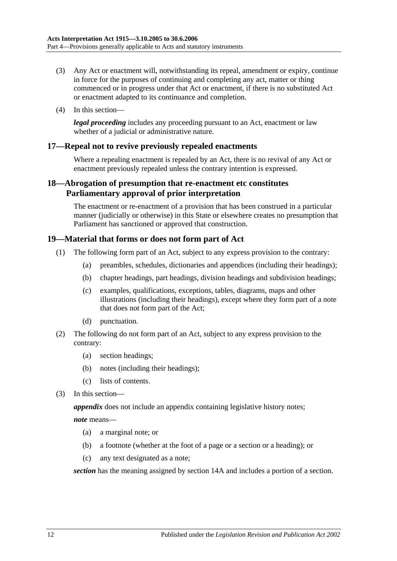- (3) Any Act or enactment will, notwithstanding its repeal, amendment or expiry, continue in force for the purposes of continuing and completing any act, matter or thing commenced or in progress under that Act or enactment, if there is no substituted Act or enactment adapted to its continuance and completion.
- (4) In this section—

*legal proceeding* includes any proceeding pursuant to an Act, enactment or law whether of a judicial or administrative nature.

### <span id="page-11-0"></span>**17—Repeal not to revive previously repealed enactments**

Where a repealing enactment is repealed by an Act, there is no revival of any Act or enactment previously repealed unless the contrary intention is expressed.

### <span id="page-11-1"></span>**18—Abrogation of presumption that re-enactment etc constitutes Parliamentary approval of prior interpretation**

The enactment or re-enactment of a provision that has been construed in a particular manner (judicially or otherwise) in this State or elsewhere creates no presumption that Parliament has sanctioned or approved that construction.

#### <span id="page-11-2"></span>**19—Material that forms or does not form part of Act**

- (1) The following form part of an Act, subject to any express provision to the contrary:
	- (a) preambles, schedules, dictionaries and appendices (including their headings);
	- (b) chapter headings, part headings, division headings and subdivision headings;
	- (c) examples, qualifications, exceptions, tables, diagrams, maps and other illustrations (including their headings), except where they form part of a note that does not form part of the Act;
	- (d) punctuation.
- (2) The following do not form part of an Act, subject to any express provision to the contrary:
	- (a) section headings;
	- (b) notes (including their headings);
	- (c) lists of contents.
- (3) In this section—

*appendix* does not include an appendix containing legislative history notes;

*note* means—

- (a) a marginal note; or
- (b) a footnote (whether at the foot of a page or a section or a heading); or
- (c) any text designated as a note;

*section* has the meaning assigned by [section](#page-8-4) 14A and includes a portion of a section.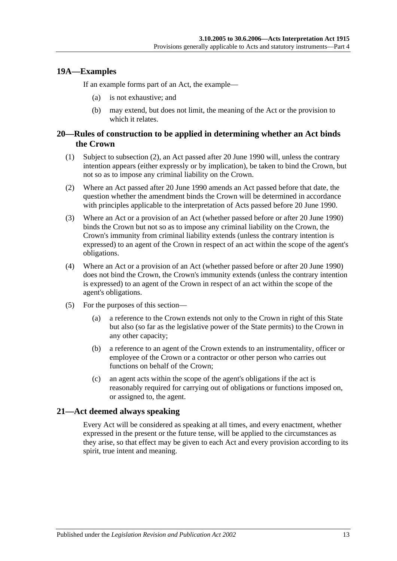### <span id="page-12-0"></span>**19A—Examples**

If an example forms part of an Act, the example—

- (a) is not exhaustive; and
- (b) may extend, but does not limit, the meaning of the Act or the provision to which it relates.

### <span id="page-12-1"></span>**20—Rules of construction to be applied in determining whether an Act binds the Crown**

- (1) Subject to [subsection](#page-12-3) (2), an Act passed after 20 June 1990 will, unless the contrary intention appears (either expressly or by implication), be taken to bind the Crown, but not so as to impose any criminal liability on the Crown.
- <span id="page-12-3"></span>(2) Where an Act passed after 20 June 1990 amends an Act passed before that date, the question whether the amendment binds the Crown will be determined in accordance with principles applicable to the interpretation of Acts passed before 20 June 1990.
- (3) Where an Act or a provision of an Act (whether passed before or after 20 June 1990) binds the Crown but not so as to impose any criminal liability on the Crown, the Crown's immunity from criminal liability extends (unless the contrary intention is expressed) to an agent of the Crown in respect of an act within the scope of the agent's obligations.
- (4) Where an Act or a provision of an Act (whether passed before or after 20 June 1990) does not bind the Crown, the Crown's immunity extends (unless the contrary intention is expressed) to an agent of the Crown in respect of an act within the scope of the agent's obligations.
- (5) For the purposes of this section—
	- (a) a reference to the Crown extends not only to the Crown in right of this State but also (so far as the legislative power of the State permits) to the Crown in any other capacity;
	- (b) a reference to an agent of the Crown extends to an instrumentality, officer or employee of the Crown or a contractor or other person who carries out functions on behalf of the Crown;
	- (c) an agent acts within the scope of the agent's obligations if the act is reasonably required for carrying out of obligations or functions imposed on, or assigned to, the agent.

### <span id="page-12-2"></span>**21—Act deemed always speaking**

Every Act will be considered as speaking at all times, and every enactment, whether expressed in the present or the future tense, will be applied to the circumstances as they arise, so that effect may be given to each Act and every provision according to its spirit, true intent and meaning.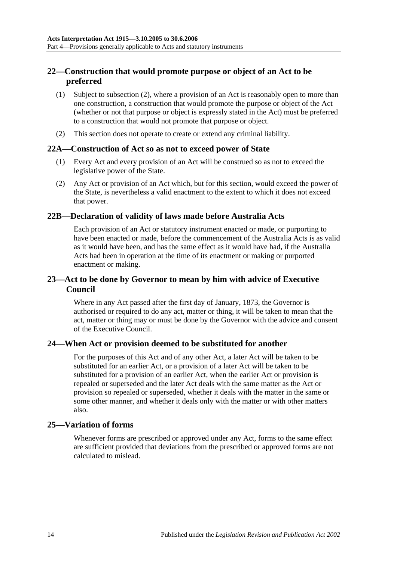# <span id="page-13-0"></span>**22—Construction that would promote purpose or object of an Act to be preferred**

- (1) Subject to [subsection](#page-13-6) (2), where a provision of an Act is reasonably open to more than one construction, a construction that would promote the purpose or object of the Act (whether or not that purpose or object is expressly stated in the Act) must be preferred to a construction that would not promote that purpose or object.
- <span id="page-13-6"></span>(2) This section does not operate to create or extend any criminal liability.

#### <span id="page-13-1"></span>**22A—Construction of Act so as not to exceed power of State**

- (1) Every Act and every provision of an Act will be construed so as not to exceed the legislative power of the State.
- (2) Any Act or provision of an Act which, but for this section, would exceed the power of the State, is nevertheless a valid enactment to the extent to which it does not exceed that power.

### <span id="page-13-2"></span>**22B—Declaration of validity of laws made before Australia Acts**

Each provision of an Act or statutory instrument enacted or made, or purporting to have been enacted or made, before the commencement of the Australia Acts is as valid as it would have been, and has the same effect as it would have had, if the Australia Acts had been in operation at the time of its enactment or making or purported enactment or making.

### <span id="page-13-3"></span>**23—Act to be done by Governor to mean by him with advice of Executive Council**

Where in any Act passed after the first day of January, 1873, the Governor is authorised or required to do any act, matter or thing, it will be taken to mean that the act, matter or thing may or must be done by the Governor with the advice and consent of the Executive Council.

### <span id="page-13-4"></span>**24—When Act or provision deemed to be substituted for another**

For the purposes of this Act and of any other Act, a later Act will be taken to be substituted for an earlier Act, or a provision of a later Act will be taken to be substituted for a provision of an earlier Act, when the earlier Act or provision is repealed or superseded and the later Act deals with the same matter as the Act or provision so repealed or superseded, whether it deals with the matter in the same or some other manner, and whether it deals only with the matter or with other matters also.

#### <span id="page-13-5"></span>**25—Variation of forms**

Whenever forms are prescribed or approved under any Act, forms to the same effect are sufficient provided that deviations from the prescribed or approved forms are not calculated to mislead.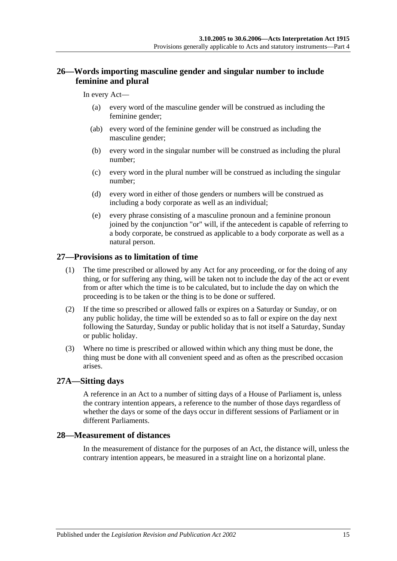# <span id="page-14-0"></span>**26—Words importing masculine gender and singular number to include feminine and plural**

#### In every Act—

- (a) every word of the masculine gender will be construed as including the feminine gender;
- (ab) every word of the feminine gender will be construed as including the masculine gender;
- (b) every word in the singular number will be construed as including the plural number;
- (c) every word in the plural number will be construed as including the singular number;
- (d) every word in either of those genders or numbers will be construed as including a body corporate as well as an individual;
- (e) every phrase consisting of a masculine pronoun and a feminine pronoun joined by the conjunction "or" will, if the antecedent is capable of referring to a body corporate, be construed as applicable to a body corporate as well as a natural person.

### <span id="page-14-1"></span>**27—Provisions as to limitation of time**

- (1) The time prescribed or allowed by any Act for any proceeding, or for the doing of any thing, or for suffering any thing, will be taken not to include the day of the act or event from or after which the time is to be calculated, but to include the day on which the proceeding is to be taken or the thing is to be done or suffered.
- (2) If the time so prescribed or allowed falls or expires on a Saturday or Sunday, or on any public holiday, the time will be extended so as to fall or expire on the day next following the Saturday, Sunday or public holiday that is not itself a Saturday, Sunday or public holiday.
- (3) Where no time is prescribed or allowed within which any thing must be done, the thing must be done with all convenient speed and as often as the prescribed occasion arises.

#### <span id="page-14-2"></span>**27A—Sitting days**

A reference in an Act to a number of sitting days of a House of Parliament is, unless the contrary intention appears, a reference to the number of those days regardless of whether the days or some of the days occur in different sessions of Parliament or in different Parliaments.

### <span id="page-14-3"></span>**28—Measurement of distances**

In the measurement of distance for the purposes of an Act, the distance will, unless the contrary intention appears, be measured in a straight line on a horizontal plane.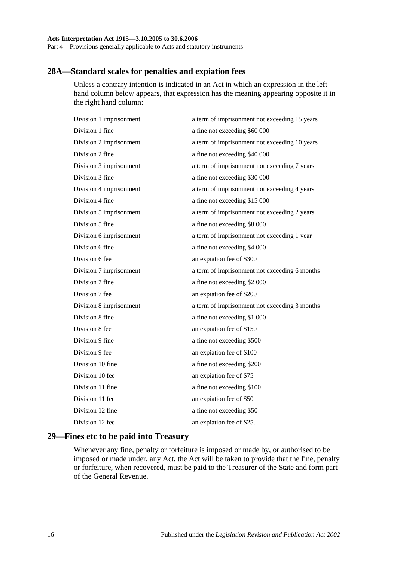# <span id="page-15-0"></span>**28A—Standard scales for penalties and expiation fees**

Unless a contrary intention is indicated in an Act in which an expression in the left hand column below appears, that expression has the meaning appearing opposite it in the right hand column:

| Division 1 imprisonment | a term of imprisonment not exceeding 15 years |
|-------------------------|-----------------------------------------------|
| Division 1 fine         | a fine not exceeding \$60 000                 |
| Division 2 imprisonment | a term of imprisonment not exceeding 10 years |
| Division 2 fine         | a fine not exceeding \$40 000                 |
| Division 3 imprisonment | a term of imprisonment not exceeding 7 years  |
| Division 3 fine         | a fine not exceeding \$30 000                 |
| Division 4 imprisonment | a term of imprisonment not exceeding 4 years  |
| Division 4 fine         | a fine not exceeding \$15 000                 |
| Division 5 imprisonment | a term of imprisonment not exceeding 2 years  |
| Division 5 fine         | a fine not exceeding \$8 000                  |
| Division 6 imprisonment | a term of imprisonment not exceeding 1 year   |
| Division 6 fine         | a fine not exceeding \$4 000                  |
| Division 6 fee          | an expiation fee of \$300                     |
| Division 7 imprisonment | a term of imprisonment not exceeding 6 months |
| Division 7 fine         | a fine not exceeding \$2 000                  |
| Division 7 fee          | an expiation fee of \$200                     |
| Division 8 imprisonment | a term of imprisonment not exceeding 3 months |
| Division 8 fine         | a fine not exceeding \$1 000                  |
| Division 8 fee          | an expiation fee of \$150                     |
| Division 9 fine         | a fine not exceeding \$500                    |
| Division 9 fee          | an expiation fee of \$100                     |
| Division 10 fine        | a fine not exceeding \$200                    |
| Division 10 fee         | an expiation fee of \$75                      |
| Division 11 fine        | a fine not exceeding \$100                    |
| Division 11 fee         | an expiation fee of \$50                      |
| Division 12 fine        | a fine not exceeding \$50                     |
| Division 12 fee         | an expiation fee of \$25.                     |
|                         |                                               |

# <span id="page-15-1"></span>**29—Fines etc to be paid into Treasury**

Whenever any fine, penalty or forfeiture is imposed or made by, or authorised to be imposed or made under, any Act, the Act will be taken to provide that the fine, penalty or forfeiture, when recovered, must be paid to the Treasurer of the State and form part of the General Revenue.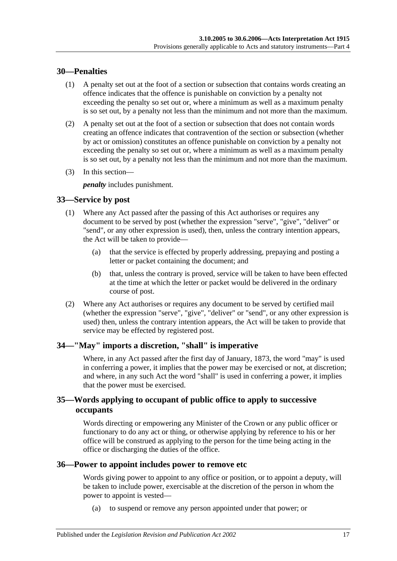### <span id="page-16-0"></span>**30—Penalties**

- (1) A penalty set out at the foot of a section or subsection that contains words creating an offence indicates that the offence is punishable on conviction by a penalty not exceeding the penalty so set out or, where a minimum as well as a maximum penalty is so set out, by a penalty not less than the minimum and not more than the maximum.
- (2) A penalty set out at the foot of a section or subsection that does not contain words creating an offence indicates that contravention of the section or subsection (whether by act or omission) constitutes an offence punishable on conviction by a penalty not exceeding the penalty so set out or, where a minimum as well as a maximum penalty is so set out, by a penalty not less than the minimum and not more than the maximum.
- (3) In this section—

*penalty* includes punishment.

# <span id="page-16-1"></span>**33—Service by post**

- (1) Where any Act passed after the passing of this Act authorises or requires any document to be served by post (whether the expression "serve", "give", "deliver" or "send", or any other expression is used), then, unless the contrary intention appears, the Act will be taken to provide—
	- (a) that the service is effected by properly addressing, prepaying and posting a letter or packet containing the document; and
	- (b) that, unless the contrary is proved, service will be taken to have been effected at the time at which the letter or packet would be delivered in the ordinary course of post.
- (2) Where any Act authorises or requires any document to be served by certified mail (whether the expression "serve", "give", "deliver" or "send", or any other expression is used) then, unless the contrary intention appears, the Act will be taken to provide that service may be effected by registered post.

# <span id="page-16-2"></span>**34—"May" imports a discretion, "shall" is imperative**

Where, in any Act passed after the first day of January, 1873, the word "may" is used in conferring a power, it implies that the power may be exercised or not, at discretion; and where, in any such Act the word "shall" is used in conferring a power, it implies that the power must be exercised.

# <span id="page-16-3"></span>**35—Words applying to occupant of public office to apply to successive occupants**

Words directing or empowering any Minister of the Crown or any public officer or functionary to do any act or thing, or otherwise applying by reference to his or her office will be construed as applying to the person for the time being acting in the office or discharging the duties of the office.

### <span id="page-16-4"></span>**36—Power to appoint includes power to remove etc**

Words giving power to appoint to any office or position, or to appoint a deputy, will be taken to include power, exercisable at the discretion of the person in whom the power to appoint is vested—

(a) to suspend or remove any person appointed under that power; or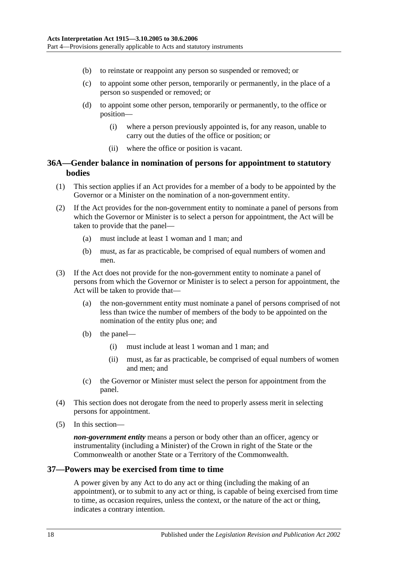- (b) to reinstate or reappoint any person so suspended or removed; or
- (c) to appoint some other person, temporarily or permanently, in the place of a person so suspended or removed; or
- (d) to appoint some other person, temporarily or permanently, to the office or position—
	- (i) where a person previously appointed is, for any reason, unable to carry out the duties of the office or position; or
	- (ii) where the office or position is vacant.

### <span id="page-17-0"></span>**36A—Gender balance in nomination of persons for appointment to statutory bodies**

- (1) This section applies if an Act provides for a member of a body to be appointed by the Governor or a Minister on the nomination of a non-government entity.
- (2) If the Act provides for the non-government entity to nominate a panel of persons from which the Governor or Minister is to select a person for appointment, the Act will be taken to provide that the panel—
	- (a) must include at least 1 woman and 1 man; and
	- (b) must, as far as practicable, be comprised of equal numbers of women and men.
- (3) If the Act does not provide for the non-government entity to nominate a panel of persons from which the Governor or Minister is to select a person for appointment, the Act will be taken to provide that-
	- (a) the non-government entity must nominate a panel of persons comprised of not less than twice the number of members of the body to be appointed on the nomination of the entity plus one; and
	- (b) the panel—
		- (i) must include at least 1 woman and 1 man; and
		- (ii) must, as far as practicable, be comprised of equal numbers of women and men; and
	- (c) the Governor or Minister must select the person for appointment from the panel.
- (4) This section does not derogate from the need to properly assess merit in selecting persons for appointment.
- (5) In this section—

*non-government entity* means a person or body other than an officer, agency or instrumentality (including a Minister) of the Crown in right of the State or the Commonwealth or another State or a Territory of the Commonwealth.

#### <span id="page-17-1"></span>**37—Powers may be exercised from time to time**

A power given by any Act to do any act or thing (including the making of an appointment), or to submit to any act or thing, is capable of being exercised from time to time, as occasion requires, unless the context, or the nature of the act or thing, indicates a contrary intention.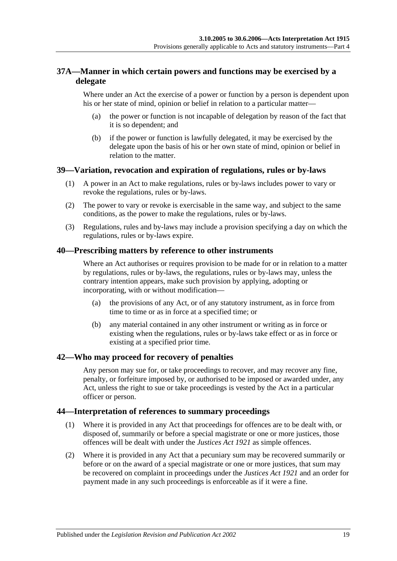# <span id="page-18-0"></span>**37A—Manner in which certain powers and functions may be exercised by a delegate**

Where under an Act the exercise of a power or function by a person is dependent upon his or her state of mind, opinion or belief in relation to a particular matter—

- (a) the power or function is not incapable of delegation by reason of the fact that it is so dependent; and
- (b) if the power or function is lawfully delegated, it may be exercised by the delegate upon the basis of his or her own state of mind, opinion or belief in relation to the matter.

# <span id="page-18-1"></span>**39—Variation, revocation and expiration of regulations, rules or by-laws**

- (1) A power in an Act to make regulations, rules or by-laws includes power to vary or revoke the regulations, rules or by-laws.
- (2) The power to vary or revoke is exercisable in the same way, and subject to the same conditions, as the power to make the regulations, rules or by-laws.
- (3) Regulations, rules and by-laws may include a provision specifying a day on which the regulations, rules or by-laws expire.

### <span id="page-18-2"></span>**40—Prescribing matters by reference to other instruments**

Where an Act authorises or requires provision to be made for or in relation to a matter by regulations, rules or by-laws, the regulations, rules or by-laws may, unless the contrary intention appears, make such provision by applying, adopting or incorporating, with or without modification—

- (a) the provisions of any Act, or of any statutory instrument, as in force from time to time or as in force at a specified time; or
- (b) any material contained in any other instrument or writing as in force or existing when the regulations, rules or by-laws take effect or as in force or existing at a specified prior time.

### <span id="page-18-3"></span>**42—Who may proceed for recovery of penalties**

Any person may sue for, or take proceedings to recover, and may recover any fine, penalty, or forfeiture imposed by, or authorised to be imposed or awarded under, any Act, unless the right to sue or take proceedings is vested by the Act in a particular officer or person.

#### <span id="page-18-4"></span>**44—Interpretation of references to summary proceedings**

- (1) Where it is provided in any Act that proceedings for offences are to be dealt with, or disposed of, summarily or before a special magistrate or one or more justices, those offences will be dealt with under the *[Justices Act](http://www.legislation.sa.gov.au/index.aspx?action=legref&type=act&legtitle=Justices%20Act%201921) 1921* as simple offences.
- (2) Where it is provided in any Act that a pecuniary sum may be recovered summarily or before or on the award of a special magistrate or one or more justices, that sum may be recovered on complaint in proceedings under the *[Justices Act](http://www.legislation.sa.gov.au/index.aspx?action=legref&type=act&legtitle=Justices%20Act%201921) 1921* and an order for payment made in any such proceedings is enforceable as if it were a fine.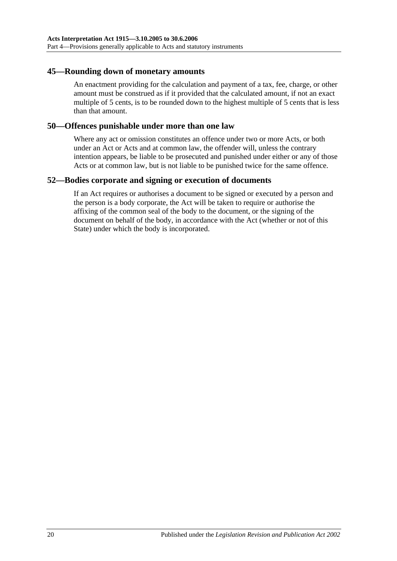### <span id="page-19-0"></span>**45—Rounding down of monetary amounts**

An enactment providing for the calculation and payment of a tax, fee, charge, or other amount must be construed as if it provided that the calculated amount, if not an exact multiple of 5 cents, is to be rounded down to the highest multiple of 5 cents that is less than that amount.

#### <span id="page-19-1"></span>**50—Offences punishable under more than one law**

Where any act or omission constitutes an offence under two or more Acts, or both under an Act or Acts and at common law, the offender will, unless the contrary intention appears, be liable to be prosecuted and punished under either or any of those Acts or at common law, but is not liable to be punished twice for the same offence.

#### <span id="page-19-2"></span>**52—Bodies corporate and signing or execution of documents**

If an Act requires or authorises a document to be signed or executed by a person and the person is a body corporate, the Act will be taken to require or authorise the affixing of the common seal of the body to the document, or the signing of the document on behalf of the body, in accordance with the Act (whether or not of this State) under which the body is incorporated.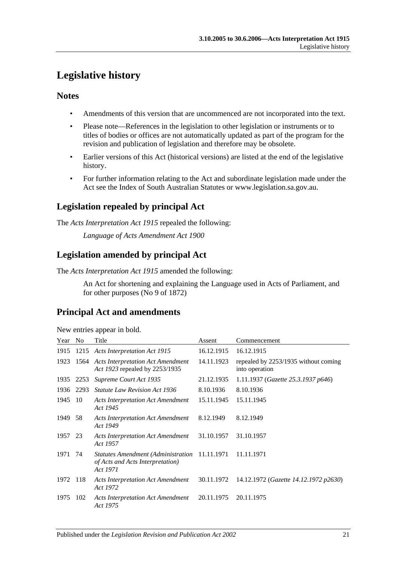# <span id="page-20-0"></span>**Legislative history**

# **Notes**

- Amendments of this version that are uncommenced are not incorporated into the text.
- Please note—References in the legislation to other legislation or instruments or to titles of bodies or offices are not automatically updated as part of the program for the revision and publication of legislation and therefore may be obsolete.
- Earlier versions of this Act (historical versions) are listed at the end of the legislative history.
- For further information relating to the Act and subordinate legislation made under the Act see the Index of South Australian Statutes or www.legislation.sa.gov.au.

# **Legislation repealed by principal Act**

The *Acts Interpretation Act 1915* repealed the following:

*Language of Acts Amendment Act 1900*

# **Legislation amended by principal Act**

The *Acts Interpretation Act 1915* amended the following:

An Act for shortening and explaining the Language used in Acts of Parliament, and for other purposes (No 9 of 1872)

# **Principal Act and amendments**

| New entries appear in bold. |  |  |  |  |
|-----------------------------|--|--|--|--|
|-----------------------------|--|--|--|--|

| Year | No.  | Title                                                                                         | Assent     | Commencement                                           |
|------|------|-----------------------------------------------------------------------------------------------|------------|--------------------------------------------------------|
| 1915 |      | 1215 Acts Interpretation Act 1915                                                             | 16.12.1915 | 16.12.1915                                             |
| 1923 |      | 1564 Acts Interpretation Act Amendment<br>Act 1923 repealed by 2253/1935                      | 14.11.1923 | repealed by 2253/1935 without coming<br>into operation |
| 1935 | 2253 | Supreme Court Act 1935                                                                        | 21.12.1935 | 1.11.1937 (Gazette 25.3.1937 p646)                     |
| 1936 | 2293 | <b>Statute Law Revision Act 1936</b>                                                          | 8.10.1936  | 8.10.1936                                              |
| 1945 | 10   | <b>Acts Interpretation Act Amendment</b><br>Act 1945                                          | 15.11.1945 | 15.11.1945                                             |
| 1949 | 58   | <b>Acts Interpretation Act Amendment</b><br>Act 1949                                          | 8.12.1949  | 8.12.1949                                              |
| 1957 | 23   | <b>Acts Interpretation Act Amendment</b><br>Act 1957                                          | 31.10.1957 | 31.10.1957                                             |
| 1971 | 74   | Statutes Amendment (Administration 11.11.1971<br>of Acts and Acts Interpretation)<br>Act 1971 |            | 11.11.1971                                             |
| 1972 | 118  | <b>Acts Interpretation Act Amendment</b><br>Act 1972                                          | 30.11.1972 | 14.12.1972 (Gazette 14.12.1972 p2630)                  |
| 1975 | 102  | <b>Acts Interpretation Act Amendment</b><br>Act 1975                                          | 20.11.1975 | 20.11.1975                                             |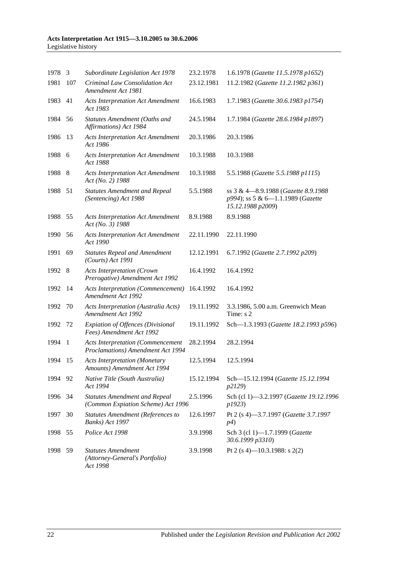#### **Acts Interpretation Act 1915—3.10.2005 to 30.6.2006** Legislative history

| 1978 3  |                          | Subordinate Legislation Act 1978                                              | 23.2.1978  | 1.6.1978 (Gazette 11.5.1978 p1652)                                                             |
|---------|--------------------------|-------------------------------------------------------------------------------|------------|------------------------------------------------------------------------------------------------|
| 1981    | 107                      | Criminal Law Consolidation Act<br>Amendment Act 1981                          | 23.12.1981 | 11.2.1982 (Gazette 11.2.1982 p361)                                                             |
| 1983    | 41                       | <b>Acts Interpretation Act Amendment</b><br>Act 1983                          | 16.6.1983  | 1.7.1983 (Gazette 30.6.1983 p1754)                                                             |
| 1984    | 56                       | Statutes Amendment (Oaths and<br>Affirmations) Act 1984                       | 24.5.1984  | 1.7.1984 (Gazette 28.6.1984 p1897)                                                             |
| 1986    | 13                       | <b>Acts Interpretation Act Amendment</b><br>Act 1986                          | 20.3.1986  | 20.3.1986                                                                                      |
| 1988    | - 6                      | <b>Acts Interpretation Act Amendment</b><br>Act 1988                          | 10.3.1988  | 10.3.1988                                                                                      |
| 1988 8  |                          | <b>Acts Interpretation Act Amendment</b><br>Act (No. 2) 1988                  | 10.3.1988  | 5.5.1988 (Gazette 5.5.1988 p1115)                                                              |
| 1988    | 51                       | <b>Statutes Amendment and Repeal</b><br>(Sentencing) Act 1988                 | 5.5.1988   | ss 3 & 4-8.9.1988 (Gazette 8.9.1988)<br>p994); ss 5 & 6-1.1.1989 (Gazette<br>15.12.1988 p2009) |
| 1988 55 |                          | <b>Acts Interpretation Act Amendment</b><br>Act (No. 3) 1988                  | 8.9.1988   | 8.9.1988                                                                                       |
| 1990    | 56                       | <b>Acts Interpretation Act Amendment</b><br>Act 1990                          | 22.11.1990 | 22.11.1990                                                                                     |
| 1991    | 69                       | <b>Statutes Repeal and Amendment</b><br>(Courts) Act 1991                     | 12.12.1991 | 6.7.1992 (Gazette 2.7.1992 p209)                                                               |
| 1992 8  |                          | <b>Acts Interpretation (Crown</b><br>Prerogative) Amendment Act 1992          | 16.4.1992  | 16.4.1992                                                                                      |
| 1992    | -14                      | <b>Acts Interpretation (Commencement)</b><br>Amendment Act 1992               | 16.4.1992  | 16.4.1992                                                                                      |
| 1992    | 70                       | Acts Interpretation (Australia Acts)<br>Amendment Act 1992                    | 19.11.1992 | 3.3.1986, 5.00 a.m. Greenwich Mean<br>Time: s 2                                                |
| 1992 72 |                          | <b>Expiation of Offences (Divisional</b><br>Fees) Amendment Act 1992          | 19.11.1992 | Sch-1.3.1993 (Gazette 18.2.1993 p596)                                                          |
| 1994    | $\overline{\phantom{a}}$ | <b>Acts Interpretation (Commencement</b><br>Proclamations) Amendment Act 1994 | 28.2.1994  | 28.2.1994                                                                                      |
| 1994    | 15                       | <b>Acts Interpretation (Monetary</b><br>Amounts) Amendment Act 1994           | 12.5.1994  | 12.5.1994                                                                                      |
| 1994    | 92                       | Native Title (South Australia)<br>Act 1994                                    | 15.12.1994 | Sch-15.12.1994 (Gazette 15.12.1994<br>p2129)                                                   |
| 1996 34 |                          | <b>Statutes Amendment and Repeal</b><br>(Common Expiation Scheme) Act 1996    | 2.5.1996   | Sch (cl 1)-3.2.1997 (Gazette 19.12.1996<br>p1923)                                              |
| 1997    | 30                       | <b>Statutes Amendment (References to</b><br>Banks) Act 1997                   | 12.6.1997  | Pt 2 (s 4)-3.7.1997 (Gazette 3.7.1997<br>p4)                                                   |
| 1998 55 |                          | Police Act 1998                                                               | 3.9.1998   | Sch 3 (cl 1)-1.7.1999 (Gazette<br>30.6.1999 p3310)                                             |
| 1998    | 59                       | <b>Statutes Amendment</b><br>(Attorney-General's Portfolio)<br>Act 1998       | 3.9.1998   | Pt 2 (s 4)—10.3.1988: s 2(2)                                                                   |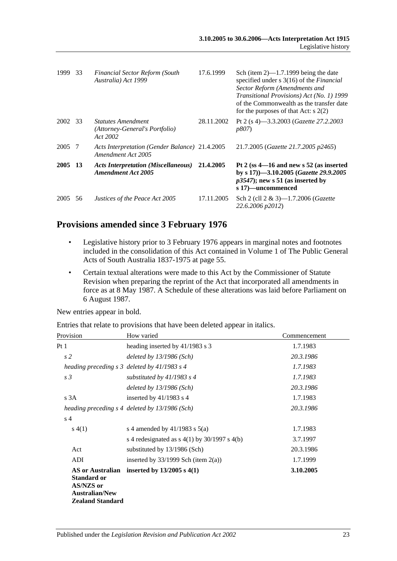| 1999    | 33 | <b>Financial Sector Reform (South</b><br>Australia) Act 1999            | 17.6.1999  | Sch (item $2$ )—1.7.1999 being the date<br>specified under $s \, 3(16)$ of the <i>Financial</i><br>Sector Reform (Amendments and<br>Transitional Provisions) Act (No. 1) 1999<br>of the Commonwealth as the transfer date<br>for the purposes of that Act: $s$ 2(2) |
|---------|----|-------------------------------------------------------------------------|------------|---------------------------------------------------------------------------------------------------------------------------------------------------------------------------------------------------------------------------------------------------------------------|
| 2002 33 |    | <b>Statutes Amendment</b><br>(Attorney-General's Portfolio)<br>Act 2002 | 28.11.2002 | Pt 2 (s 4)–3.3.2003 ( <i>Gazette 27.2.2003</i><br><i>p807</i> )                                                                                                                                                                                                     |
| 2005 7  |    | Acts Interpretation (Gender Balance) 21.4.2005<br>Amendment Act 2005    |            | 21.7.2005 (Gazette 21.7.2005 p2465)                                                                                                                                                                                                                                 |
| 2005 13 |    | <b>Acts Interpretation (Miscellaneous)</b><br><b>Amendment Act 2005</b> | 21.4.2005  | Pt 2 (ss $4-16$ and new s 52 (as inserted<br>by s 17) -3.10.2005 (Gazette 29.9.2005<br>$p3547$ ; new s 51 (as inserted by<br>s 17)—uncommenced                                                                                                                      |
| 2005    | 56 | Justices of the Peace Act 2005                                          | 17.11.2005 | Sch 2 (cll 2 & 3)-1.7.2006 ( <i>Gazette</i><br>22.6.2006 p2012)                                                                                                                                                                                                     |

# **Provisions amended since 3 February 1976**

- Legislative history prior to 3 February 1976 appears in marginal notes and footnotes included in the consolidation of this Act contained in Volume 1 of The Public General Acts of South Australia 1837-1975 at page 55.
- Certain textual alterations were made to this Act by the Commissioner of Statute Revision when preparing the reprint of the Act that incorporated all amendments in force as at 8 May 1987. A Schedule of these alterations was laid before Parliament on 6 August 1987.

New entries appear in bold.

Entries that relate to provisions that have been deleted appear in italics.

| Provision                                                                                                      | How varied                                       | Commencement |
|----------------------------------------------------------------------------------------------------------------|--------------------------------------------------|--------------|
| Pt 1                                                                                                           | heading inserted by 41/1983 s 3                  | 1.7.1983     |
| s <sub>2</sub>                                                                                                 | deleted by $13/1986$ (Sch)                       | 20.3.1986    |
|                                                                                                                | heading preceding $s$ 3 deleted by 41/1983 $s$ 4 | 1.7.1983     |
| s <sub>3</sub>                                                                                                 | substituted by $41/1983$ s 4                     | 1.7.1983     |
|                                                                                                                | deleted by $13/1986$ (Sch)                       | 20.3.1986    |
| s 3A                                                                                                           | inserted by $41/1983$ s 4                        | 1.7.1983     |
|                                                                                                                | heading preceding s 4 deleted by 13/1986 (Sch)   | 20.3.1986    |
| s <sub>4</sub>                                                                                                 |                                                  |              |
| s(4(1))                                                                                                        | s 4 amended by $41/1983$ s $5(a)$                | 1.7.1983     |
|                                                                                                                | s 4 redesignated as $s(1)$ by 30/1997 s 4(b)     | 3.7.1997     |
| Act                                                                                                            | substituted by 13/1986 (Sch)                     | 20.3.1986    |
| ADI                                                                                                            | inserted by $33/1999$ Sch (item $2(a)$ )         | 1.7.1999     |
| <b>AS or Australian</b><br><b>Standard or</b><br>AS/NZS or<br><b>Australian/New</b><br><b>Zealand Standard</b> | inserted by $13/2005$ s $4(1)$                   | 3.10.2005    |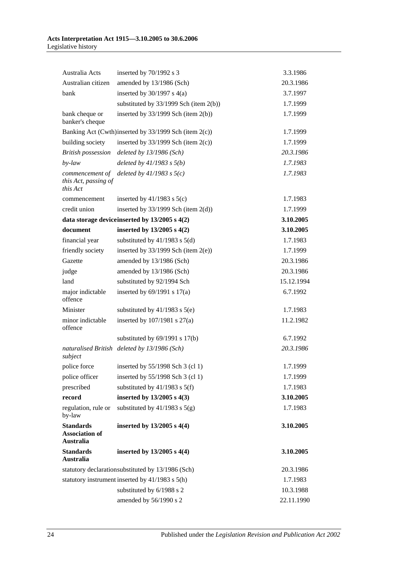| Australia Acts                                                | inserted by 70/1992 s 3                               | 3.3.1986   |
|---------------------------------------------------------------|-------------------------------------------------------|------------|
| Australian citizen                                            | amended by 13/1986 (Sch)                              | 20.3.1986  |
| bank                                                          | inserted by $30/1997$ s $4(a)$                        | 3.7.1997   |
|                                                               | substituted by $33/1999$ Sch (item 2(b))              | 1.7.1999   |
| bank cheque or<br>banker's cheque                             | inserted by $33/1999$ Sch (item $2(b)$ )              | 1.7.1999   |
|                                                               | Banking Act (Cwth)inserted by 33/1999 Sch (item 2(c)) | 1.7.1999   |
| building society                                              | inserted by $33/1999$ Sch (item $2(c)$ )              | 1.7.1999   |
| <b>British possession</b>                                     | deleted by $13/1986$ (Sch)                            | 20.3.1986  |
| by-law                                                        | deleted by $41/1983$ s $5(b)$                         | 1.7.1983   |
| commencement of<br>this Act, passing of<br>this Act           | deleted by $41/1983$ s $5(c)$                         | 1.7.1983   |
| commencement                                                  | inserted by $41/1983$ s $5(c)$                        | 1.7.1983   |
| credit union                                                  | inserted by $33/1999$ Sch (item $2(d)$ )              | 1.7.1999   |
|                                                               | data storage device inserted by $13/2005$ s $4(2)$    | 3.10.2005  |
| document                                                      | inserted by 13/2005 s 4(2)                            | 3.10.2005  |
| financial year                                                | substituted by $41/1983$ s $5(d)$                     | 1.7.1983   |
| friendly society                                              | inserted by $33/1999$ Sch (item $2(e)$ )              | 1.7.1999   |
| Gazette                                                       | amended by 13/1986 (Sch)                              | 20.3.1986  |
| judge                                                         | amended by 13/1986 (Sch)                              | 20.3.1986  |
| land                                                          | substituted by 92/1994 Sch                            | 15.12.1994 |
| major indictable<br>offence                                   | inserted by $69/1991$ s $17(a)$                       | 6.7.1992   |
| Minister                                                      | substituted by $41/1983$ s $5(e)$                     | 1.7.1983   |
| minor indictable<br>offence                                   | inserted by $107/1981$ s $27(a)$                      | 11.2.1982  |
|                                                               | substituted by $69/1991$ s $17(b)$                    | 6.7.1992   |
| subject                                                       | naturalised British deleted by 13/1986 (Sch)          | 20.3.1986  |
| police force                                                  | inserted by 55/1998 Sch 3 (cl 1)                      | 1.7.1999   |
| police officer                                                | inserted by 55/1998 Sch 3 (cl 1)                      | 1.7.1999   |
| prescribed                                                    | substituted by $41/1983$ s $5(f)$                     | 1.7.1983   |
| record                                                        | inserted by 13/2005 s 4(3)                            | 3.10.2005  |
| regulation, rule or<br>by-law                                 | substituted by $41/1983$ s $5(g)$                     | 1.7.1983   |
| <b>Standards</b><br><b>Association of</b><br><b>Australia</b> | inserted by 13/2005 s 4(4)                            | 3.10.2005  |
| <b>Standards</b><br>Australia                                 | inserted by $13/2005$ s $4(4)$                        | 3.10.2005  |
|                                                               | statutory declarationsubstituted by 13/1986 (Sch)     | 20.3.1986  |
|                                                               | statutory instrument inserted by 41/1983 s 5(h)       | 1.7.1983   |
|                                                               | substituted by 6/1988 s 2                             | 10.3.1988  |
|                                                               | amended by 56/1990 s 2                                | 22.11.1990 |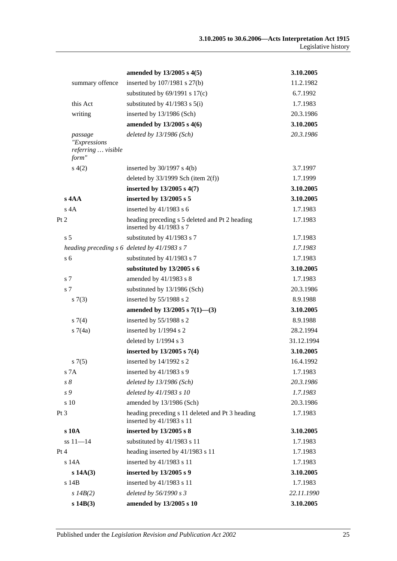|      |                                                        | amended by 13/2005 s 4(5)                                                   | 3.10.2005  |
|------|--------------------------------------------------------|-----------------------------------------------------------------------------|------------|
|      | summary offence                                        | inserted by 107/1981 s 27(b)                                                | 11.2.1982  |
|      |                                                        | substituted by $69/1991$ s $17(c)$                                          | 6.7.1992   |
|      | this Act                                               | substituted by $41/1983$ s $5(i)$                                           | 1.7.1983   |
|      | writing                                                | inserted by 13/1986 (Sch)                                                   | 20.3.1986  |
|      |                                                        | amended by 13/2005 s 4(6)                                                   | 3.10.2005  |
|      | passage<br>"Expressions<br>referring  visible<br>form" | deleted by $13/1986$ (Sch)                                                  | 20.3.1986  |
|      | s(4(2)                                                 | inserted by $30/1997$ s $4(b)$                                              | 3.7.1997   |
|      |                                                        | deleted by $33/1999$ Sch (item $2(f)$ )                                     | 1.7.1999   |
|      |                                                        | inserted by 13/2005 s 4(7)                                                  | 3.10.2005  |
|      | $s$ 4AA                                                | inserted by 13/2005 s 5                                                     | 3.10.2005  |
|      | $s$ 4A                                                 | inserted by $41/1983$ s 6                                                   | 1.7.1983   |
| Pt 2 |                                                        | heading preceding s 5 deleted and Pt 2 heading<br>inserted by $41/1983$ s 7 | 1.7.1983   |
|      | s <sub>5</sub>                                         | substituted by 41/1983 s 7                                                  | 1.7.1983   |
|      |                                                        | heading preceding s 6 deleted by 41/1983 s 7                                | 1.7.1983   |
|      | s <sub>6</sub>                                         | substituted by 41/1983 s 7                                                  | 1.7.1983   |
|      |                                                        | substituted by 13/2005 s 6                                                  | 3.10.2005  |
|      | s 7                                                    | amended by 41/1983 s 8                                                      | 1.7.1983   |
|      | s 7                                                    | substituted by 13/1986 (Sch)                                                | 20.3.1986  |
|      | s(7(3))                                                | inserted by 55/1988 s 2                                                     | 8.9.1988   |
|      |                                                        | amended by $13/2005$ s $7(1)$ —(3)                                          | 3.10.2005  |
|      | s(7(4)                                                 | inserted by 55/1988 s 2                                                     | 8.9.1988   |
|      | s7(4a)                                                 | inserted by 1/1994 s 2                                                      | 28.2.1994  |
|      |                                                        | deleted by 1/1994 s 3                                                       | 31.12.1994 |
|      |                                                        | inserted by $13/2005$ s $7(4)$                                              | 3.10.2005  |
|      | s7(5)                                                  | inserted by 14/1992 s 2                                                     | 16.4.1992  |
|      | s 7A                                                   | inserted by 41/1983 s 9                                                     | 1.7.1983   |
|      | $s\mathrel{\mathcal{S}}$                               | deleted by $13/1986$ (Sch)                                                  | 20.3.1986  |
|      | s 9                                                    | deleted by 41/1983 s 10                                                     | 1.7.1983   |
|      | s 10                                                   | amended by 13/1986 (Sch)                                                    | 20.3.1986  |
| Pt 3 |                                                        | heading preceding s 11 deleted and Pt 3 heading<br>inserted by 41/1983 s 11 | 1.7.1983   |
|      | s 10A                                                  | inserted by 13/2005 s 8                                                     | 3.10.2005  |
|      | $ss 11 - 14$                                           | substituted by 41/1983 s 11                                                 | 1.7.1983   |
| Pt 4 |                                                        | heading inserted by 41/1983 s 11                                            | 1.7.1983   |
|      | s 14A                                                  | inserted by 41/1983 s 11                                                    | 1.7.1983   |
|      | s 14A(3)                                               | inserted by 13/2005 s 9                                                     | 3.10.2005  |
|      | s 14B                                                  | inserted by 41/1983 s 11                                                    | 1.7.1983   |
|      | $s$ 14B(2)                                             | deleted by 56/1990 s 3                                                      | 22.11.1990 |
|      | $s$ 14B $(3)$                                          | amended by 13/2005 s 10                                                     | 3.10.2005  |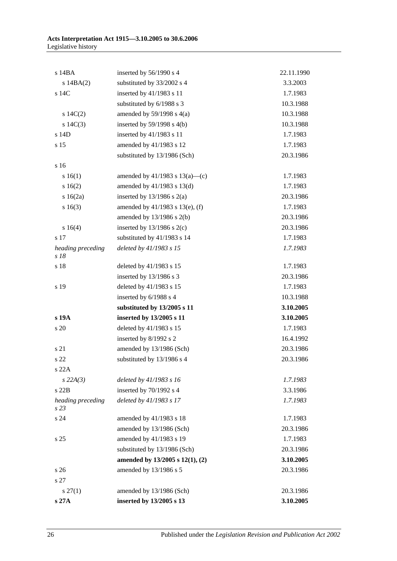| s 14BA                    | inserted by 56/1990 s 4             | 22.11.1990 |
|---------------------------|-------------------------------------|------------|
| $s$ 14BA $(2)$            | substituted by 33/2002 s 4          | 3.3.2003   |
| s 14C                     | inserted by 41/1983 s 11            | 1.7.1983   |
|                           | substituted by 6/1988 s 3           | 10.3.1988  |
| s $14C(2)$                | amended by $59/1998$ s $4(a)$       | 10.3.1988  |
| s $14C(3)$                | inserted by $59/1998$ s $4(b)$      | 10.3.1988  |
| s 14D                     | inserted by 41/1983 s 11            | 1.7.1983   |
| s 15                      | amended by 41/1983 s 12             | 1.7.1983   |
|                           | substituted by 13/1986 (Sch)        | 20.3.1986  |
| s 16                      |                                     |            |
| s 16(1)                   | amended by $41/1983$ s $13(a)$ —(c) | 1.7.1983   |
| 16(2)                     | amended by $41/1983$ s $13(d)$      | 1.7.1983   |
| $s \ 16(2a)$              | inserted by $13/1986$ s $2(a)$      | 20.3.1986  |
| s16(3)                    | amended by 41/1983 s 13(e), (f)     | 1.7.1983   |
|                           | amended by $13/1986$ s $2(b)$       | 20.3.1986  |
| s 16(4)                   | inserted by $13/1986$ s $2(c)$      | 20.3.1986  |
| s 17                      | substituted by 41/1983 s 14         | 1.7.1983   |
| heading preceding<br>s 18 | deleted by 41/1983 s 15             | 1.7.1983   |
| s 18                      | deleted by 41/1983 s 15             | 1.7.1983   |
|                           | inserted by 13/1986 s 3             | 20.3.1986  |
| s 19                      | deleted by 41/1983 s 15             | 1.7.1983   |
|                           | inserted by 6/1988 s 4              | 10.3.1988  |
|                           | substituted by 13/2005 s 11         | 3.10.2005  |
| s 19A                     | inserted by 13/2005 s 11            | 3.10.2005  |
| s 20                      | deleted by 41/1983 s 15             | 1.7.1983   |
|                           | inserted by 8/1992 s 2              | 16.4.1992  |
| s 21                      | amended by 13/1986 (Sch)            | 20.3.1986  |
| s 22                      | substituted by 13/1986 s 4          | 20.3.1986  |
| s 22A                     |                                     |            |
| $s$ 22A(3)                | deleted by $41/1983$ s 16           | 1.7.1983   |
| s22B                      | inserted by 70/1992 s 4             | 3.3.1986   |
| heading preceding<br>s23  | deleted by 41/1983 s 17             | 1.7.1983   |
| s24                       | amended by 41/1983 s 18             | 1.7.1983   |
|                           | amended by 13/1986 (Sch)            | 20.3.1986  |
| s <sub>25</sub>           | amended by 41/1983 s 19             | 1.7.1983   |
|                           | substituted by 13/1986 (Sch)        | 20.3.1986  |
|                           | amended by 13/2005 s 12(1), (2)     | 3.10.2005  |
| s <sub>26</sub>           | amended by 13/1986 s 5              | 20.3.1986  |
| s 27                      |                                     |            |
| $s\,27(1)$                | amended by 13/1986 (Sch)            | 20.3.1986  |
| s 27A                     | inserted by 13/2005 s 13            | 3.10.2005  |

26 Published under the *Legislation Revision and Publication Act 2002*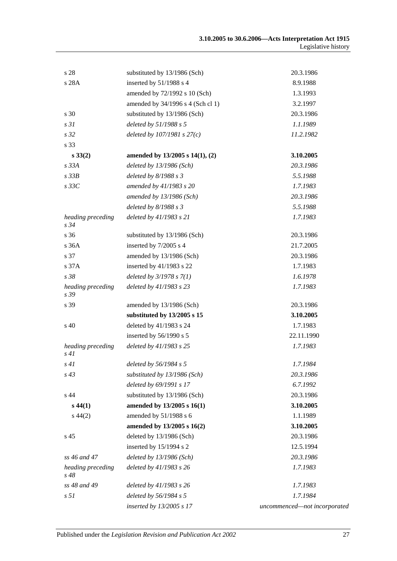| s 28                         | substituted by 13/1986 (Sch)         | 20.3.1986                    |
|------------------------------|--------------------------------------|------------------------------|
| s 28A                        | inserted by 51/1988 s 4              | 8.9.1988                     |
|                              | amended by 72/1992 s 10 (Sch)        | 1.3.1993                     |
|                              | amended by 34/1996 s 4 (Sch cl 1)    | 3.2.1997                     |
| s 30                         | substituted by 13/1986 (Sch)         | 20.3.1986                    |
| s <sub>31</sub>              | deleted by 51/1988 s 5               | 1.1.1989                     |
| s <sub>32</sub>              | deleted by $107/1981 s 27(c)$        | 11.2.1982                    |
| s 33                         |                                      |                              |
| $s\,33(2)$                   | amended by $13/2005$ s $14(1)$ , (2) | 3.10.2005                    |
| s 33A                        | deleted by 13/1986 (Sch)             | 20.3.1986                    |
| $s$ 33 $B$                   | deleted by $8/1988 s 3$              | 5.5.1988                     |
| $s$ 33 $C$                   | amended by 41/1983 s 20              | 1.7.1983                     |
|                              | amended by 13/1986 (Sch)             | 20.3.1986                    |
|                              | deleted by $8/1988 s 3$              | 5.5.1988                     |
| heading preceding<br>$s\,34$ | deleted by 41/1983 s 21              | 1.7.1983                     |
| s 36                         | substituted by 13/1986 (Sch)         | 20.3.1986                    |
| s 36A                        | inserted by 7/2005 s 4               | 21.7.2005                    |
| s 37                         | amended by 13/1986 (Sch)             | 20.3.1986                    |
| s 37A                        | inserted by 41/1983 s 22             | 1.7.1983                     |
| s 38                         | deleted by $3/1978 s 7(1)$           | 1.6.1978                     |
| heading preceding<br>s 39    | deleted by 41/1983 s 23              | 1.7.1983                     |
| s 39                         | amended by 13/1986 (Sch)             | 20.3.1986                    |
|                              | substituted by 13/2005 s 15          | 3.10.2005                    |
| $\rm s$ 40                   | deleted by 41/1983 s 24              | 1.7.1983                     |
|                              | inserted by 56/1990 s 5              | 22.11.1990                   |
| heading preceding<br>s41     | deleted by 41/1983 s 25              | 1.7.1983                     |
| s 41                         | deleted by $56/1984$ s 5             | 1.7.1984                     |
| $s\,43$                      | substituted by 13/1986 (Sch)         | 20.3.1986                    |
|                              | deleted by 69/1991 s 17              | 6.7.1992                     |
| s 44                         | substituted by 13/1986 (Sch)         | 20.3.1986                    |
| $s\,44(1)$                   | amended by 13/2005 s 16(1)           | 3.10.2005                    |
| $s\,44(2)$                   | amended by 51/1988 s 6               | 1.1.1989                     |
|                              | amended by 13/2005 s 16(2)           | 3.10.2005                    |
| s 45                         | deleted by 13/1986 (Sch)             | 20.3.1986                    |
|                              | inserted by 15/1994 s 2              | 12.5.1994                    |
| ss 46 and 47                 | deleted by $13/1986$ (Sch)           | 20.3.1986                    |
| heading preceding<br>$s\,48$ | deleted by 41/1983 s 26              | 1.7.1983                     |
| ss 48 and 49                 | deleted by 41/1983 s 26              | 1.7.1983                     |
| s <sub>51</sub>              | deleted by 56/1984 s 5               | 1.7.1984                     |
|                              | inserted by 13/2005 s 17             | uncommenced-not incorporated |